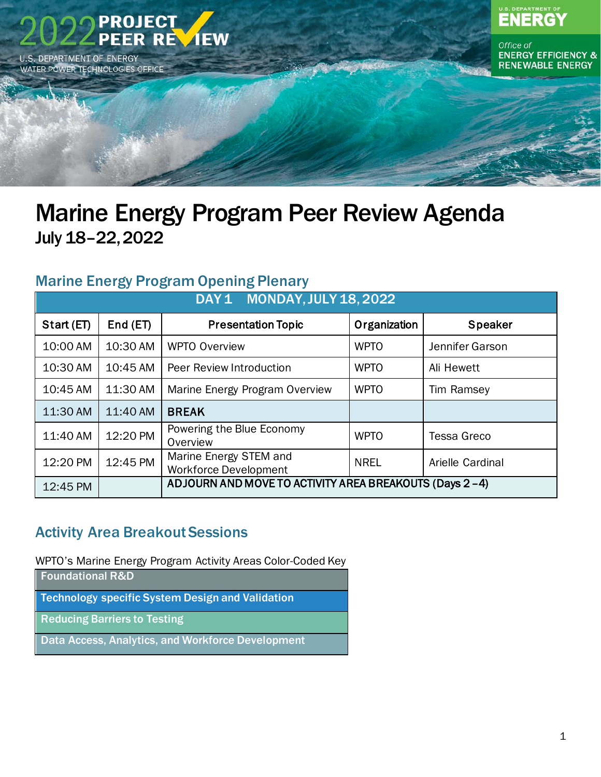

## Marine Energy Program Peer Review Agenda July 18–22,2022

### Marine Energy Program Opening Plenary

| DAY 1 MONDAY, JULY 18, 2022 |          |                                                        |              |                    |  |
|-----------------------------|----------|--------------------------------------------------------|--------------|--------------------|--|
| Start (ET)                  | End (ET) | <b>Presentation Topic</b>                              | Organization | <b>Speaker</b>     |  |
| 10:00 AM                    | 10:30 AM | <b>WPTO Overview</b>                                   | <b>WPTO</b>  | Jennifer Garson    |  |
| 10:30 AM                    | 10:45 AM | Peer Review Introduction                               | <b>WPTO</b>  | Ali Hewett         |  |
| 10:45 AM                    | 11:30 AM | Marine Energy Program Overview                         | <b>WPTO</b>  | Tim Ramsey         |  |
| 11:30 AM                    | 11:40 AM | <b>BREAK</b>                                           |              |                    |  |
| 11:40 AM                    | 12:20 PM | Powering the Blue Economy<br>Overview                  | <b>WPTO</b>  | <b>Tessa Greco</b> |  |
| 12:20 PM                    | 12:45 PM | Marine Energy STEM and<br><b>Workforce Development</b> | <b>NREL</b>  | Arielle Cardinal   |  |
| 12:45 PM                    |          | ADJOURN AND MOVE TO ACTIVITY AREA BREAKOUTS (Days 2-4) |              |                    |  |

### Activity Area Breakout Sessions

WPTO's Marine Energy Program Activity Areas Color-Coded Key

| <b>Foundational R&amp;D</b>                             |
|---------------------------------------------------------|
| <b>Technology specific System Design and Validation</b> |
| <b>Reducing Barriers to Testing</b>                     |
| Data Access, Analytics, and Workforce Development       |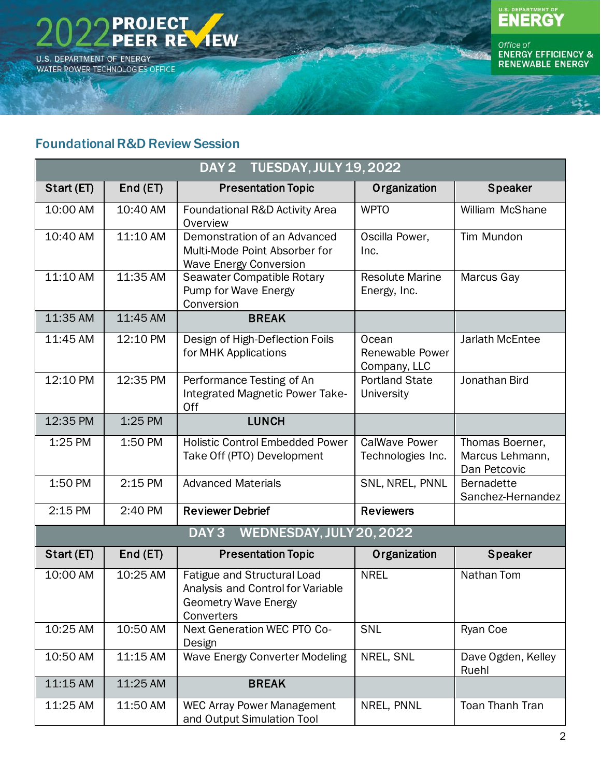



Office of<br>ENERGY EFFICIENCY &<br>RENEWABLE ENERGY

#### <span id="page-1-0"></span>Foundational R&D Review Session

|            | <b>TUESDAY, JULY 19, 2022</b><br>DAY <sub>2</sub> |                                                                                                               |                                           |                                                    |  |  |
|------------|---------------------------------------------------|---------------------------------------------------------------------------------------------------------------|-------------------------------------------|----------------------------------------------------|--|--|
| Start (ET) | End(ET)                                           | <b>Presentation Topic</b>                                                                                     | Organization                              | <b>Speaker</b>                                     |  |  |
| 10:00 AM   | 10:40 AM                                          | Foundational R&D Activity Area<br>Overview                                                                    | <b>WPTO</b>                               | William McShane                                    |  |  |
| 10:40 AM   | 11:10 AM                                          | Demonstration of an Advanced<br>Multi-Mode Point Absorber for<br><b>Wave Energy Conversion</b>                | Oscilla Power,<br>Inc.                    | Tim Mundon                                         |  |  |
| 11:10 AM   | 11:35 AM                                          | Seawater Compatible Rotary<br>Pump for Wave Energy<br>Conversion                                              | <b>Resolute Marine</b><br>Energy, Inc.    | Marcus Gay                                         |  |  |
| 11:35 AM   | 11:45 AM                                          | <b>BREAK</b>                                                                                                  |                                           |                                                    |  |  |
| 11:45 AM   | 12:10 PM                                          | Design of High-Deflection Foils<br>for MHK Applications                                                       | Ocean<br>Renewable Power<br>Company, LLC  | Jarlath McEntee                                    |  |  |
| 12:10 PM   | 12:35 PM                                          | Performance Testing of An<br>Integrated Magnetic Power Take-<br>Off                                           | <b>Portland State</b><br>University       | Jonathan Bird                                      |  |  |
| 12:35 PM   | 1:25 PM                                           | <b>LUNCH</b>                                                                                                  |                                           |                                                    |  |  |
| 1:25 PM    | 1:50 PM                                           | <b>Holistic Control Embedded Power</b><br>Take Off (PTO) Development                                          | <b>CalWave Power</b><br>Technologies Inc. | Thomas Boerner,<br>Marcus Lehmann,<br>Dan Petcovic |  |  |
| 1:50 PM    | 2:15 PM                                           | <b>Advanced Materials</b>                                                                                     | SNL, NREL, PNNL                           | <b>Bernadette</b><br>Sanchez-Hernandez             |  |  |
| 2:15 PM    | 2:40 PM                                           | <b>Reviewer Debrief</b>                                                                                       | <b>Reviewers</b>                          |                                                    |  |  |
|            |                                                   | WEDNESDAY, JULY 20, 2022<br>DAY <sub>3</sub>                                                                  |                                           |                                                    |  |  |
| Start (ET) | End(ET)                                           | <b>Presentation Topic</b>                                                                                     | Organization                              | <b>Speaker</b>                                     |  |  |
| 10:00 AM   | 10:25 AM                                          | Fatigue and Structural Load<br>Analysis and Control for Variable<br><b>Geometry Wave Energy</b><br>Converters | <b>NREL</b>                               | Nathan Tom                                         |  |  |
| 10:25 AM   | 10:50 AM                                          | Next Generation WEC PTO Co-<br>Design                                                                         | <b>SNL</b>                                | Ryan Coe                                           |  |  |
| 10:50 AM   | 11:15 AM                                          | <b>Wave Energy Converter Modeling</b>                                                                         | NREL, SNL                                 | Dave Ogden, Kelley<br>Ruehl                        |  |  |
| 11:15 AM   | 11:25 AM                                          | <b>BREAK</b>                                                                                                  |                                           |                                                    |  |  |
| 11:25 AM   | 11:50 AM                                          | <b>WEC Array Power Management</b><br>and Output Simulation Tool                                               | NREL, PNNL                                | <b>Toan Thanh Tran</b>                             |  |  |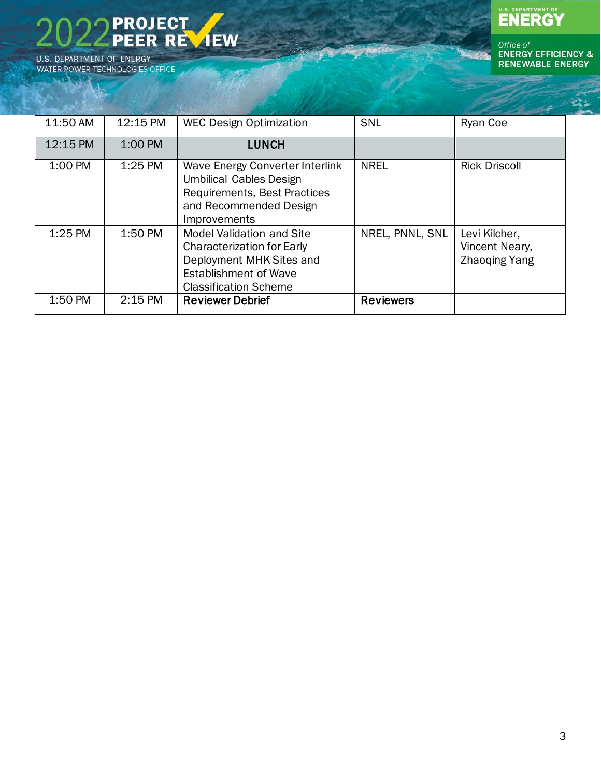**PROJECT<br>PEER REVIEW** U.S. DEPARTMENT OF ENERGY WATER POWER TECHNOLOGIES OFFICE

**WARKE** 

# U.S. DEPARTMENT OF

| 11:50 AM | 12:15 PM | <b>WEC Design Optimization</b>                                                                                                                                    | SNL              | Ryan Coe                                                |
|----------|----------|-------------------------------------------------------------------------------------------------------------------------------------------------------------------|------------------|---------------------------------------------------------|
| 12:15 PM | 1:00 PM  | <b>LUNCH</b>                                                                                                                                                      |                  |                                                         |
| 1:00 PM  | 1:25 PM  | <b>Wave Energy Converter Interlink</b><br><b>Umbilical Cables Design</b><br>Requirements, Best Practices<br>and Recommended Design<br>Improvements                | <b>NREL</b>      | <b>Rick Driscoll</b>                                    |
| 1:25 PM  | 1:50 PM  | <b>Model Validation and Site</b><br><b>Characterization for Early</b><br>Deployment MHK Sites and<br><b>Establishment of Wave</b><br><b>Classification Scheme</b> | NREL, PNNL, SNL  | Levi Kilcher,<br>Vincent Neary,<br><b>Zhaoging Yang</b> |
| 1:50 PM  | 2:15 PM  | <b>Reviewer Debrief</b>                                                                                                                                           | <b>Reviewers</b> |                                                         |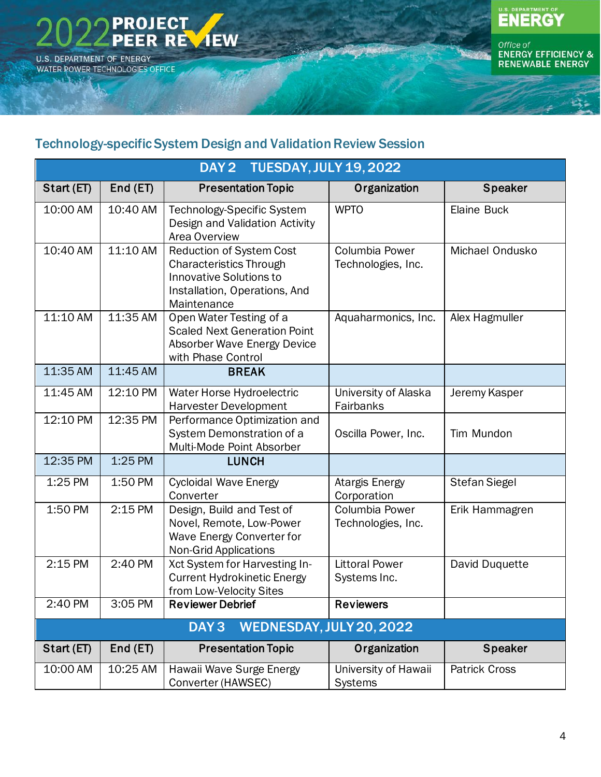

فكلوعك



Office of<br>ENERGY EFFICIENCY &<br>RENEWABLE ENERGY

#### <span id="page-3-0"></span>Technology-specific System Design and Validation Review Session

| DAY 2 TUESDAY, JULY 19, 2022 |          |                                                                                                                                                     |                                        |                      |  |
|------------------------------|----------|-----------------------------------------------------------------------------------------------------------------------------------------------------|----------------------------------------|----------------------|--|
| Start (ET)                   | End (ET) | <b>Presentation Topic</b>                                                                                                                           | Organization                           | <b>Speaker</b>       |  |
| 10:00 AM                     | 10:40 AM | Technology-Specific System<br>Design and Validation Activity<br>Area Overview                                                                       | <b>WPTO</b>                            | Elaine Buck          |  |
| 10:40 AM                     | 11:10 AM | <b>Reduction of System Cost</b><br><b>Characteristics Through</b><br><b>Innovative Solutions to</b><br>Installation, Operations, And<br>Maintenance | Columbia Power<br>Technologies, Inc.   | Michael Ondusko      |  |
| 11:10 AM                     | 11:35 AM | Open Water Testing of a<br><b>Scaled Next Generation Point</b><br>Absorber Wave Energy Device<br>with Phase Control                                 | Aquaharmonics, Inc.                    | Alex Hagmuller       |  |
| 11:35 AM                     | 11:45 AM | <b>BREAK</b>                                                                                                                                        |                                        |                      |  |
| 11:45 AM                     | 12:10 PM | Water Horse Hydroelectric<br><b>Harvester Development</b>                                                                                           | University of Alaska<br>Fairbanks      | Jeremy Kasper        |  |
| 12:10 PM                     | 12:35 PM | Performance Optimization and<br>System Demonstration of a<br>Multi-Mode Point Absorber                                                              | Oscilla Power, Inc.                    | Tim Mundon           |  |
| 12:35 PM                     | 1:25 PM  | <b>LUNCH</b>                                                                                                                                        |                                        |                      |  |
| 1:25 PM                      | 1:50 PM  | <b>Cycloidal Wave Energy</b><br>Converter                                                                                                           | Atargis Energy<br>Corporation          | <b>Stefan Siegel</b> |  |
| 1:50 PM                      | 2:15 PM  | Design, Build and Test of<br>Novel, Remote, Low-Power<br>Wave Energy Converter for<br><b>Non-Grid Applications</b>                                  | Columbia Power<br>Technologies, Inc.   | Erik Hammagren       |  |
| 2:15 PM                      | 2:40 PM  | Xct System for Harvesting In-<br><b>Current Hydrokinetic Energy</b><br>from Low-Velocity Sites                                                      | <b>Littoral Power</b><br>Systems Inc.  | David Duquette       |  |
| 2:40 PM                      | 3:05 PM  | <b>Reviewer Debrief</b>                                                                                                                             | <b>Reviewers</b>                       |                      |  |
|                              |          | WEDNESDAY, JULY 20, 2022<br>DAY <sub>3</sub>                                                                                                        |                                        |                      |  |
| Start (ET)                   | End (ET) | <b>Presentation Topic</b>                                                                                                                           | Organization                           | <b>Speaker</b>       |  |
| 10:00 AM                     | 10:25 AM | Hawaii Wave Surge Energy<br>Converter (HAWSEC)                                                                                                      | University of Hawaii<br><b>Systems</b> | <b>Patrick Cross</b> |  |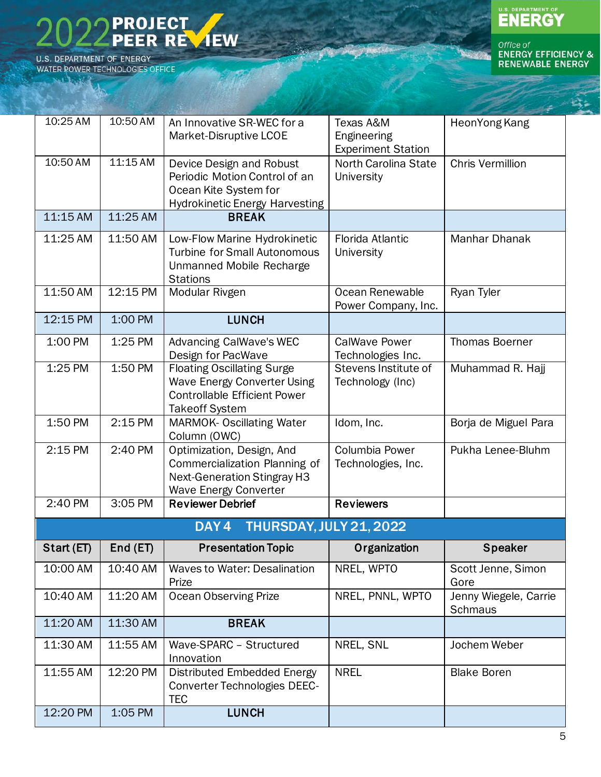

WARK

U.S. DEPARTMENT OF

| 10:25 AM     | 10:50 AM   | An Innovative SR-WEC for a<br>Market-Disruptive LCOE                                                                                    | Texas A&M<br>Engineering<br><b>Experiment Station</b> | HeonYong Kang                           |
|--------------|------------|-----------------------------------------------------------------------------------------------------------------------------------------|-------------------------------------------------------|-----------------------------------------|
| 10:50 AM     | 11:15 AM   | Device Design and Robust<br>Periodic Motion Control of an<br>Ocean Kite System for<br>Hydrokinetic Energy Harvesting                    | North Carolina State<br>University                    | <b>Chris Vermillion</b>                 |
| 11:15 AM     | $11:25$ AM | <b>BREAK</b>                                                                                                                            |                                                       |                                         |
| 11:25 AM     | 11:50 AM   | Low-Flow Marine Hydrokinetic<br><b>Turbine for Small Autonomous</b><br>Unmanned Mobile Recharge<br><b>Stations</b>                      | Florida Atlantic<br>University                        | Manhar Dhanak                           |
| 11:50 AM     | 12:15 PM   | Modular Rivgen                                                                                                                          | Ocean Renewable<br>Power Company, Inc.                | Ryan Tyler                              |
| 12:15 PM     | 1:00 PM    | <b>LUNCH</b>                                                                                                                            |                                                       |                                         |
| 1:00 PM      | 1:25 PM    | Advancing CalWave's WEC<br>Design for PacWave                                                                                           | <b>CalWave Power</b><br>Technologies Inc.             | <b>Thomas Boerner</b>                   |
| 1:25 PM      | 1:50 PM    | <b>Floating Oscillating Surge</b><br><b>Wave Energy Converter Using</b><br><b>Controllable Efficient Power</b><br><b>Takeoff System</b> | Stevens Institute of<br>Technology (Inc)              | Muhammad R. Hajj                        |
| 1:50 PM      | 2:15 PM    | <b>MARMOK- Oscillating Water</b><br>Column (OWC)                                                                                        | Idom, Inc.                                            | Borja de Miguel Para                    |
| 2:15 PM      | 2:40 PM    | Optimization, Design, And<br>Commercialization Planning of<br><b>Next-Generation Stingray H3</b><br><b>Wave Energy Converter</b>        | Columbia Power<br>Technologies, Inc.                  | Pukha Lenee-Bluhm                       |
| 2:40 PM      | 3:05 PM    | <b>Reviewer Debrief</b>                                                                                                                 | <b>Reviewers</b>                                      |                                         |
|              |            | THURSDAY, JULY 21, 2022<br>DAY4                                                                                                         |                                                       |                                         |
| Start $(ET)$ | End(ET)    | <b>Presentation Topic</b>                                                                                                               | Organization                                          | <b>Speaker</b>                          |
| 10:00 AM     | 10:40 AM   | <b>Waves to Water: Desalination</b><br>Prize                                                                                            | NREL, WPTO                                            | Scott Jenne, Simon<br>Gore              |
| 10:40 AM     | 11:20 AM   | <b>Ocean Observing Prize</b>                                                                                                            | NREL, PNNL, WPTO                                      | Jenny Wiegele, Carrie<br><b>Schmaus</b> |
| 11:20 AM     | 11:30 AM   | <b>BREAK</b>                                                                                                                            |                                                       |                                         |
| 11:30 AM     | 11:55 AM   | Wave-SPARC - Structured<br>Innovation                                                                                                   | NREL, SNL                                             | Jochem Weber                            |
| 11:55 AM     | 12:20 PM   | Distributed Embedded Energy<br><b>Converter Technologies DEEC-</b><br><b>TEC</b>                                                        | <b>NREL</b>                                           | <b>Blake Boren</b>                      |
| 12:20 PM     | 1:05 PM    | <b>LUNCH</b>                                                                                                                            |                                                       |                                         |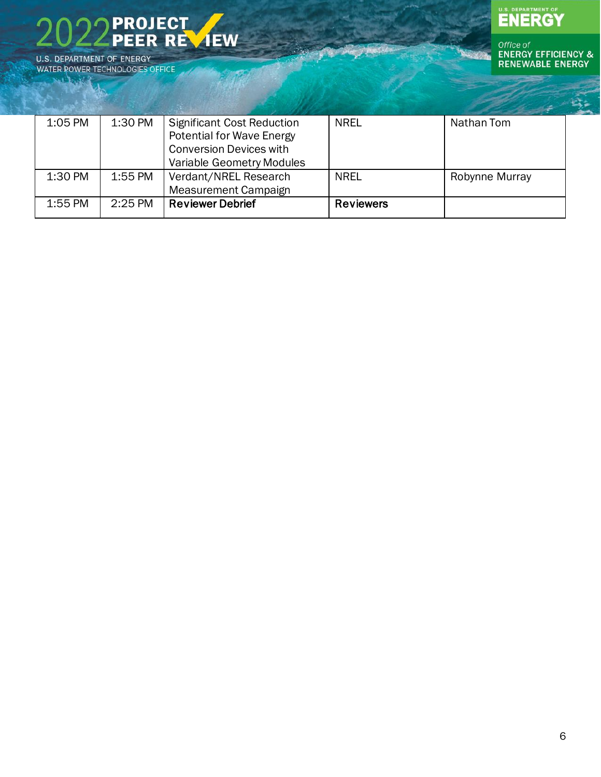

WATER POWER TECHNOLOGIES OFFICE **WARKE** 



| 1:05 PM   | 1:30 PM   | <b>Significant Cost Reduction</b> | <b>NREL</b>      | Nathan Tom     |
|-----------|-----------|-----------------------------------|------------------|----------------|
|           |           | <b>Potential for Wave Energy</b>  |                  |                |
|           |           | <b>Conversion Devices with</b>    |                  |                |
|           |           | Variable Geometry Modules         |                  |                |
| 1:30 PM   | 1:55 PM   | Verdant/NREL Research             | <b>NREL</b>      | Robynne Murray |
|           |           | <b>Measurement Campaign</b>       |                  |                |
| $1:55$ PM | $2:25$ PM | <b>Reviewer Debrief</b>           | <b>Reviewers</b> |                |
|           |           |                                   |                  |                |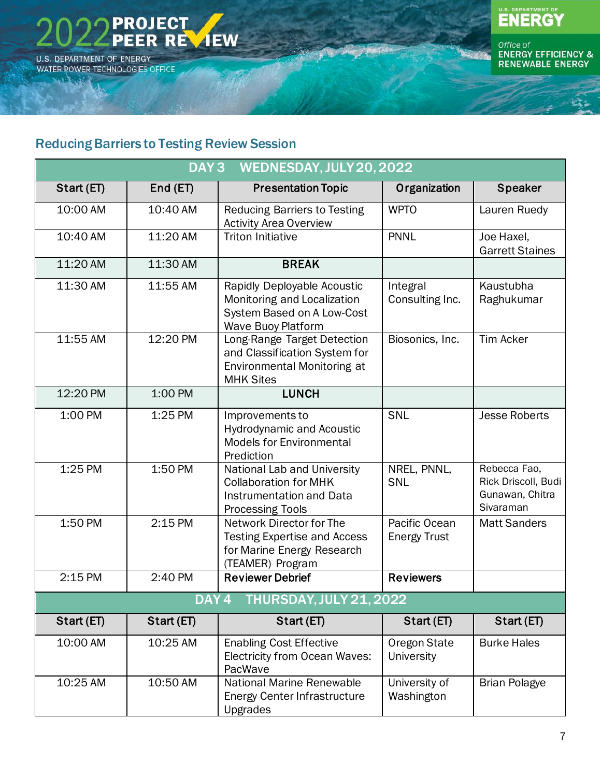



Office of<br>ENERGY EFFICIENCY &<br>RENEWABLE ENERGY

#### <span id="page-6-0"></span>Reducing Barriers to Testing Review Session

| WEDNESDAY, JULY 20, 2022<br>DAY <sub>3</sub> |                  |                                                                                                                           |                                      |                                                                     |
|----------------------------------------------|------------------|---------------------------------------------------------------------------------------------------------------------------|--------------------------------------|---------------------------------------------------------------------|
| Start (ET)                                   | End (ET)         | <b>Presentation Topic</b>                                                                                                 | Organization                         | <b>Speaker</b>                                                      |
| 10:00 AM                                     | 10:40 AM         | <b>Reducing Barriers to Testing</b><br><b>Activity Area Overview</b>                                                      | <b>WPTO</b>                          | Lauren Ruedy                                                        |
| 10:40 AM                                     | 11:20 AM         | <b>Triton Initiative</b>                                                                                                  | <b>PNNL</b>                          | Joe Haxel,<br><b>Garrett Staines</b>                                |
| 11:20 AM                                     | 11:30 AM         | <b>BREAK</b>                                                                                                              |                                      |                                                                     |
| 11:30 AM                                     | 11:55 AM         | Rapidly Deployable Acoustic<br>Monitoring and Localization<br>System Based on A Low-Cost<br>Wave Buoy Platform            | Integral<br>Consulting Inc.          | Kaustubha<br>Raghukumar                                             |
| 11:55 AM                                     | 12:20 PM         | Long-Range Target Detection<br>and Classification System for<br>Environmental Monitoring at<br><b>MHK Sites</b>           | Biosonics, Inc.                      | <b>Tim Acker</b>                                                    |
| 12:20 PM                                     | 1:00 PM          | <b>LUNCH</b>                                                                                                              |                                      |                                                                     |
| 1:00 PM                                      | 1:25 PM          | Improvements to<br><b>Hydrodynamic and Acoustic</b><br><b>Models for Environmental</b><br>Prediction                      | SNL                                  | <b>Jesse Roberts</b>                                                |
| 1:25 PM                                      | 1:50 PM          | National Lab and University<br><b>Collaboration for MHK</b><br><b>Instrumentation and Data</b><br><b>Processing Tools</b> | NREL, PNNL,<br>SNL                   | Rebecca Fao,<br>Rick Driscoll, Budi<br>Gunawan, Chitra<br>Sivaraman |
| 1:50 PM                                      | 2:15 PM          | Network Director for The<br><b>Testing Expertise and Access</b><br>for Marine Energy Research<br>(TEAMER) Program         | Pacific Ocean<br><b>Energy Trust</b> | <b>Matt Sanders</b>                                                 |
| 2:15 PM                                      | 2:40 PM          | <b>Reviewer Debrief</b>                                                                                                   | <b>Reviewers</b>                     |                                                                     |
|                                              | DAY <sub>4</sub> | THURSDAY, JULY 21, 2022                                                                                                   |                                      |                                                                     |
| Start (ET)                                   | Start (ET)       | Start (ET)                                                                                                                | Start (ET)                           | Start (ET)                                                          |
| 10:00 AM                                     | 10:25 AM         | <b>Enabling Cost Effective</b><br><b>Electricity from Ocean Waves:</b><br>PacWave                                         | Oregon State<br><b>University</b>    | <b>Burke Hales</b>                                                  |
| 10:25 AM                                     | 10:50 AM         | National Marine Renewable<br>Energy Center Infrastructure<br>Upgrades                                                     | University of<br>Washington          | <b>Brian Polagye</b>                                                |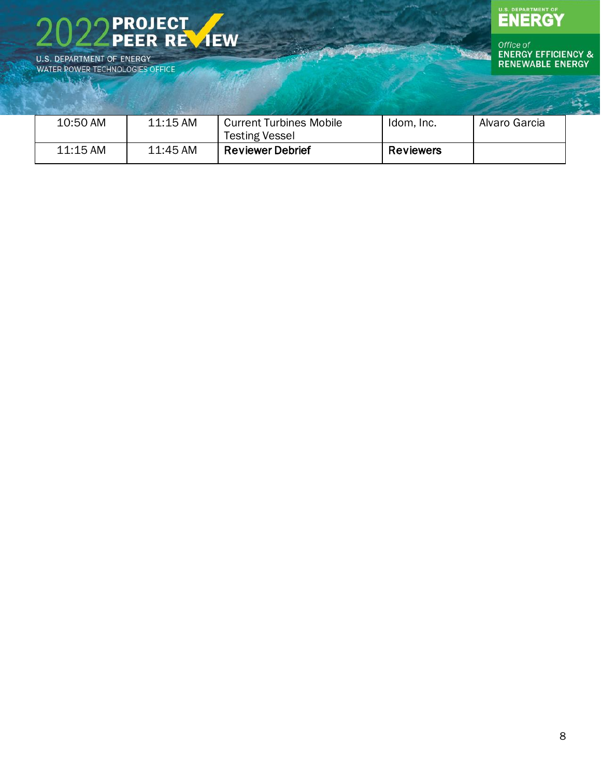

WATER POWER TECHNOLOGIES OFFICE **WARKE** 



| 10:50 AM | $11:15$ AM | <b>Current Turbines Mobile</b> | Idom, Inc.       | Alvaro Garcia |
|----------|------------|--------------------------------|------------------|---------------|
|          |            | <b>Testing Vessel</b>          |                  |               |
| 11:15 AM | 11:45 AM   | <b>Reviewer Debrief</b>        | <b>Reviewers</b> |               |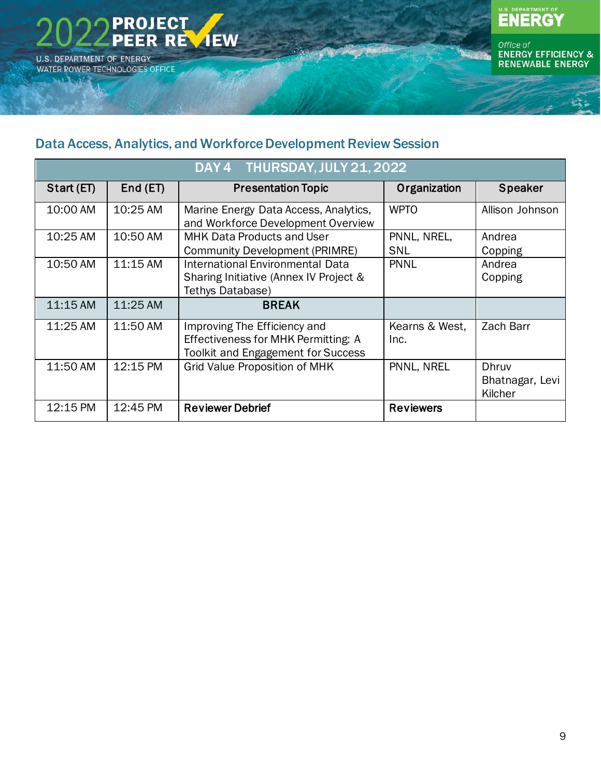**PROJECT** PEER REVIEW **U.S. DEPARTMENT OF ENERGY** WATER POWER TECHNOLOGIES OFFICE

فكلوعك

# U.S. DEPARTMENT OF

Office of<br>ENERGY EFFICIENCY &<br>RENEWABLE ENERGY

#### <span id="page-8-0"></span>Data Access, Analytics, and Workforce Development Review Session

| DAY 4 THURSDAY, JULY 21, 2022 |          |                                                                             |                  |                 |  |
|-------------------------------|----------|-----------------------------------------------------------------------------|------------------|-----------------|--|
| Start (ET)                    | End(ET)  | <b>Presentation Topic</b>                                                   | Organization     | <b>Speaker</b>  |  |
| 10:00 AM                      | 10:25 AM | Marine Energy Data Access, Analytics,<br>and Workforce Development Overview | <b>WPTO</b>      | Allison Johnson |  |
| 10:25 AM                      | 10:50 AM | <b>MHK Data Products and User</b>                                           | PNNL, NREL,      | Andrea          |  |
|                               |          | <b>Community Development (PRIMRE)</b>                                       | SNL              | Copping         |  |
| 10:50 AM                      | 11:15 AM | <b>International Environmental Data</b>                                     | <b>PNNL</b>      | Andrea          |  |
|                               |          | Sharing Initiative (Annex IV Project &                                      |                  | Copping         |  |
|                               |          | Tethys Database)                                                            |                  |                 |  |
| 11:15 AM                      | 11:25 AM | <b>BREAK</b>                                                                |                  |                 |  |
| 11:25 AM                      | 11:50 AM | Improving The Efficiency and                                                | Kearns & West,   | Zach Barr       |  |
|                               |          | Effectiveness for MHK Permitting: A                                         | Inc.             |                 |  |
|                               |          | <b>Toolkit and Engagement for Success</b>                                   |                  |                 |  |
| 11:50 AM                      | 12:15 PM | <b>Grid Value Proposition of MHK</b>                                        | PNNL, NREL       | Dhruv           |  |
|                               |          |                                                                             |                  | Bhatnagar, Levi |  |
|                               |          |                                                                             |                  | Kilcher         |  |
| 12:15 PM                      | 12:45 PM | <b>Reviewer Debrief</b>                                                     | <b>Reviewers</b> |                 |  |